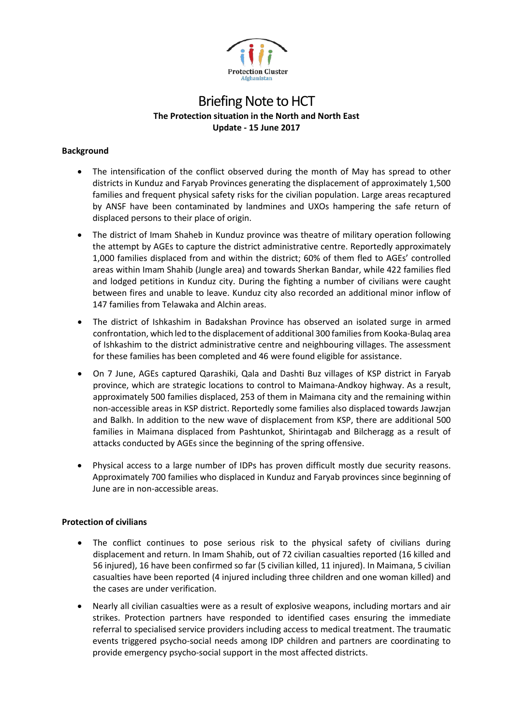

# Briefing Note to HCT **The Protection situation in the North and North East Update - 15 June 2017**

## **Background**

- The intensification of the conflict observed during the month of May has spread to other districts in Kunduz and Faryab Provinces generating the displacement of approximately 1,500 families and frequent physical safety risks for the civilian population. Large areas recaptured by ANSF have been contaminated by landmines and UXOs hampering the safe return of displaced persons to their place of origin.
- The district of Imam Shaheb in Kunduz province was theatre of military operation following the attempt by AGEs to capture the district administrative centre. Reportedly approximately 1,000 families displaced from and within the district; 60% of them fled to AGEs' controlled areas within Imam Shahib (Jungle area) and towards Sherkan Bandar, while 422 families fled and lodged petitions in Kunduz city. During the fighting a number of civilians were caught between fires and unable to leave. Kunduz city also recorded an additional minor inflow of 147 families from Telawaka and Alchin areas.
- The district of Ishkashim in Badakshan Province has observed an isolated surge in armed confrontation, which led to the displacement of additional 300 families from Kooka-Bulaq area of Ishkashim to the district administrative centre and neighbouring villages. The assessment for these families has been completed and 46 were found eligible for assistance.
- On 7 June, AGEs captured Qarashiki, Qala and Dashti Buz villages of KSP district in Faryab province, which are strategic locations to control to Maimana-Andkoy highway. As a result, approximately 500 families displaced, 253 of them in Maimana city and the remaining within non-accessible areas in KSP district. Reportedly some families also displaced towards Jawzjan and Balkh. In addition to the new wave of displacement from KSP, there are additional 500 families in Maimana displaced from Pashtunkot, Shirintagab and Bilcheragg as a result of attacks conducted by AGEs since the beginning of the spring offensive.
- Physical access to a large number of IDPs has proven difficult mostly due security reasons. Approximately 700 families who displaced in Kunduz and Faryab provinces since beginning of June are in non-accessible areas.

# **Protection of civilians**

- The conflict continues to pose serious risk to the physical safety of civilians during displacement and return. In Imam Shahib, out of 72 civilian casualties reported (16 killed and 56 injured), 16 have been confirmed so far (5 civilian killed, 11 injured). In Maimana, 5 civilian casualties have been reported (4 injured including three children and one woman killed) and the cases are under verification.
- Nearly all civilian casualties were as a result of explosive weapons, including mortars and air strikes. Protection partners have responded to identified cases ensuring the immediate referral to specialised service providers including access to medical treatment. The traumatic events triggered psycho-social needs among IDP children and partners are coordinating to provide emergency psycho-social support in the most affected districts.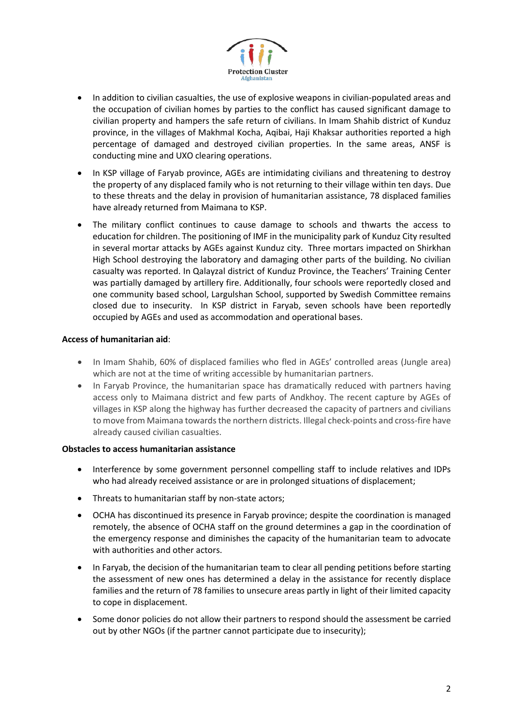

- In addition to civilian casualties, the use of explosive weapons in civilian-populated areas and the occupation of civilian homes by parties to the conflict has caused significant damage to civilian property and hampers the safe return of civilians. In Imam Shahib district of Kunduz province, in the villages of Makhmal Kocha, Aqibai, Haji Khaksar authorities reported a high percentage of damaged and destroyed civilian properties. In the same areas, ANSF is conducting mine and UXO clearing operations.
- In KSP village of Faryab province, AGEs are intimidating civilians and threatening to destroy the property of any displaced family who is not returning to their village within ten days. Due to these threats and the delay in provision of humanitarian assistance, 78 displaced families have already returned from Maimana to KSP.
- The military conflict continues to cause damage to schools and thwarts the access to education for children. The positioning of IMF in the municipality park of Kunduz City resulted in several mortar attacks by AGEs against Kunduz city. Three mortars impacted on Shirkhan High School destroying the laboratory and damaging other parts of the building. No civilian casualty was reported. In Qalayzal district of Kunduz Province, the Teachers' Training Center was partially damaged by artillery fire. Additionally, four schools were reportedly closed and one community based school, Largulshan School, supported by Swedish Committee remains closed due to insecurity. In KSP district in Faryab, seven schools have been reportedly occupied by AGEs and used as accommodation and operational bases.

## **Access of humanitarian aid**:

- In Imam Shahib, 60% of displaced families who fled in AGEs' controlled areas (Jungle area) which are not at the time of writing accessible by humanitarian partners.
- In Faryab Province, the humanitarian space has dramatically reduced with partners having access only to Maimana district and few parts of Andkhoy. The recent capture by AGEs of villages in KSP along the highway has further decreased the capacity of partners and civilians to move from Maimana towards the northern districts. Illegal check-points and cross-fire have already caused civilian casualties.

#### **Obstacles to access humanitarian assistance**

- Interference by some government personnel compelling staff to include relatives and IDPs who had already received assistance or are in prolonged situations of displacement;
- Threats to humanitarian staff by non-state actors;
- OCHA has discontinued its presence in Faryab province; despite the coordination is managed remotely, the absence of OCHA staff on the ground determines a gap in the coordination of the emergency response and diminishes the capacity of the humanitarian team to advocate with authorities and other actors.
- In Faryab, the decision of the humanitarian team to clear all pending petitions before starting the assessment of new ones has determined a delay in the assistance for recently displace families and the return of 78 families to unsecure areas partly in light of their limited capacity to cope in displacement.
- Some donor policies do not allow their partners to respond should the assessment be carried out by other NGOs (if the partner cannot participate due to insecurity);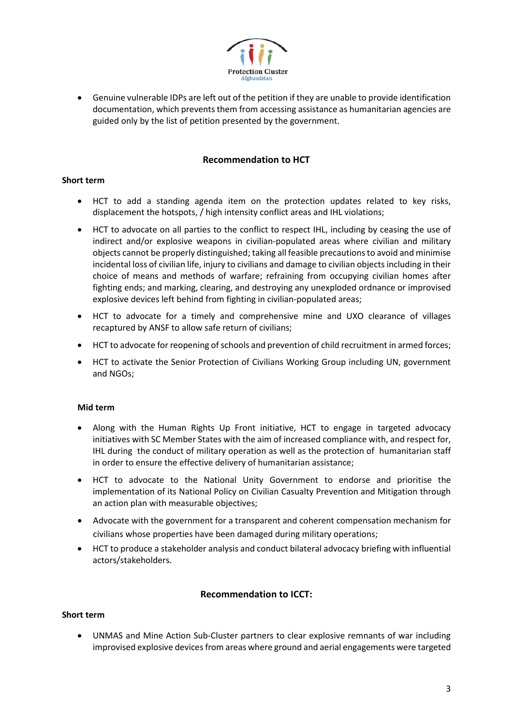

• Genuine vulnerable IDPs are left out of the petition if they are unable to provide identification documentation, which prevents them from accessing assistance as humanitarian agencies are guided only by the list of petition presented by the government.

# **Recommendation to HCT**

#### **Short term**

- HCT to add a standing agenda item on the protection updates related to key risks, displacement the hotspots, / high intensity conflict areas and IHL violations;
- HCT to advocate on all parties to the conflict to respect IHL, including by ceasing the use of indirect and/or explosive weapons in civilian-populated areas where civilian and military objects cannot be properly distinguished; taking all feasible precautions to avoid and minimise incidental loss of civilian life, injury to civilians and damage to civilian objects including in their choice of means and methods of warfare; refraining from occupying civilian homes after fighting ends; and marking, clearing, and destroying any unexploded ordnance or improvised explosive devices left behind from fighting in civilian-populated areas;
- HCT to advocate for a timely and comprehensive mine and UXO clearance of villages recaptured by ANSF to allow safe return of civilians;
- HCT to advocate for reopening of schools and prevention of child recruitment in armed forces;
- HCT to activate the Senior Protection of Civilians Working Group including UN, government and NGOs;

#### **Mid term**

- Along with the Human Rights Up Front initiative, HCT to engage in targeted advocacy initiatives with SC Member States with the aim of increased compliance with, and respect for, IHL during the conduct of military operation as well as the protection of humanitarian staff in order to ensure the effective delivery of humanitarian assistance;
- HCT to advocate to the National Unity Government to endorse and prioritise the implementation of its National Policy on Civilian Casualty Prevention and Mitigation through an action plan with measurable objectives;
- Advocate with the government for a transparent and coherent compensation mechanism for civilians whose properties have been damaged during military operations;
- HCT to produce a stakeholder analysis and conduct bilateral advocacy briefing with influential actors/stakeholders.

# **Recommendation to ICCT:**

#### **Short term**

• UNMAS and Mine Action Sub-Cluster partners to clear explosive remnants of war including improvised explosive devices from areas where ground and aerial engagements were targeted